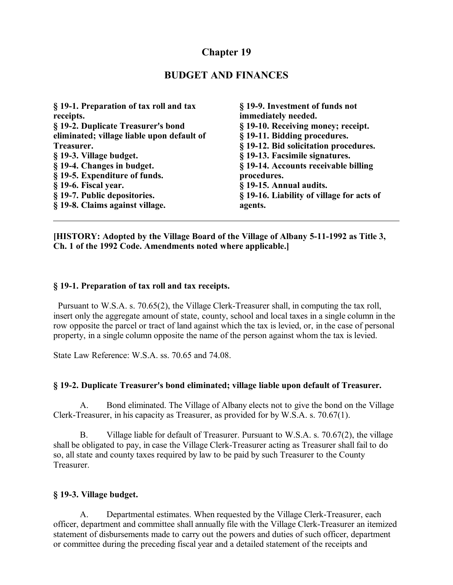# **Chapter 19**

## **BUDGET AND FINANCES**

| § 19-1. Preparation of tax roll and tax    | § 19-9. Investment of funds not           |
|--------------------------------------------|-------------------------------------------|
| receipts.                                  | immediately needed.                       |
| § 19-2. Duplicate Treasurer's bond         | § 19-10. Receiving money; receipt.        |
| eliminated; village liable upon default of | § 19-11. Bidding procedures.              |
| Treasurer.                                 | § 19-12. Bid solicitation procedures.     |
| § 19-3. Village budget.                    | § 19-13. Facsimile signatures.            |
| § 19-4. Changes in budget.                 | § 19-14. Accounts receivable billing      |
| § 19-5. Expenditure of funds.              | procedures.                               |
| § 19-6. Fiscal year.                       | § 19-15. Annual audits.                   |
| § 19-7. Public depositories.               | § 19-16. Liability of village for acts of |
| § 19-8. Claims against village.            | agents.                                   |

**[HISTORY: Adopted by the Village Board of the Village of Albany 5-11-1992 as Title 3, Ch. 1 of the 1992 Code. Amendments noted where applicable.]**

#### **§ 19-1. Preparation of tax roll and tax receipts.**

 Pursuant to W.S.A. s. 70.65(2), the Village Clerk-Treasurer shall, in computing the tax roll, insert only the aggregate amount of state, county, school and local taxes in a single column in the row opposite the parcel or tract of land against which the tax is levied, or, in the case of personal property, in a single column opposite the name of the person against whom the tax is levied.

State Law Reference: W.S.A. ss. 70.65 and 74.08.

#### **§ 19-2. Duplicate Treasurer's bond eliminated; village liable upon default of Treasurer.**

A. Bond eliminated. The Village of Albany elects not to give the bond on the Village Clerk-Treasurer, in his capacity as Treasurer, as provided for by W.S.A. s. 70.67(1).

B. Village liable for default of Treasurer. Pursuant to W.S.A. s. 70.67(2), the village shall be obligated to pay, in case the Village Clerk-Treasurer acting as Treasurer shall fail to do so, all state and county taxes required by law to be paid by such Treasurer to the County **Treasurer** 

#### **§ 19-3. Village budget.**

A. Departmental estimates. When requested by the Village Clerk-Treasurer, each officer, department and committee shall annually file with the Village Clerk-Treasurer an itemized statement of disbursements made to carry out the powers and duties of such officer, department or committee during the preceding fiscal year and a detailed statement of the receipts and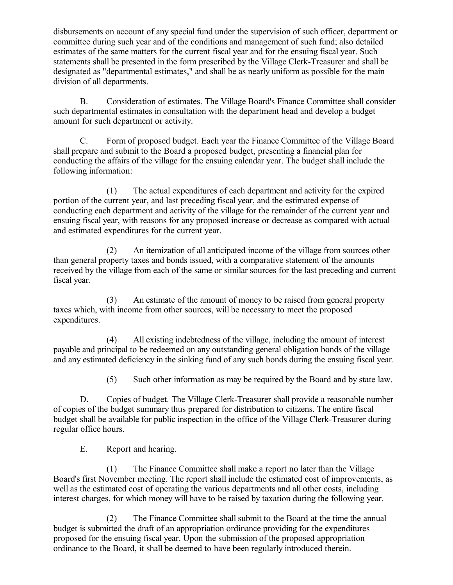disbursements on account of any special fund under the supervision of such officer, department or committee during such year and of the conditions and management of such fund; also detailed estimates of the same matters for the current fiscal year and for the ensuing fiscal year. Such statements shall be presented in the form prescribed by the Village Clerk-Treasurer and shall be designated as "departmental estimates," and shall be as nearly uniform as possible for the main division of all departments.

B. Consideration of estimates. The Village Board's Finance Committee shall consider such departmental estimates in consultation with the department head and develop a budget amount for such department or activity.

C. Form of proposed budget. Each year the Finance Committee of the Village Board shall prepare and submit to the Board a proposed budget, presenting a financial plan for conducting the affairs of the village for the ensuing calendar year. The budget shall include the following information:

(1) The actual expenditures of each department and activity for the expired portion of the current year, and last preceding fiscal year, and the estimated expense of conducting each department and activity of the village for the remainder of the current year and ensuing fiscal year, with reasons for any proposed increase or decrease as compared with actual and estimated expenditures for the current year.

(2) An itemization of all anticipated income of the village from sources other than general property taxes and bonds issued, with a comparative statement of the amounts received by the village from each of the same or similar sources for the last preceding and current fiscal year.

(3) An estimate of the amount of money to be raised from general property taxes which, with income from other sources, will be necessary to meet the proposed expenditures.

(4) All existing indebtedness of the village, including the amount of interest payable and principal to be redeemed on any outstanding general obligation bonds of the village and any estimated deficiency in the sinking fund of any such bonds during the ensuing fiscal year.

(5) Such other information as may be required by the Board and by state law.

D. Copies of budget. The Village Clerk-Treasurer shall provide a reasonable number of copies of the budget summary thus prepared for distribution to citizens. The entire fiscal budget shall be available for public inspection in the office of the Village Clerk-Treasurer during regular office hours.

E. Report and hearing.

(1) The Finance Committee shall make a report no later than the Village Board's first November meeting. The report shall include the estimated cost of improvements, as well as the estimated cost of operating the various departments and all other costs, including interest charges, for which money will have to be raised by taxation during the following year.

(2) The Finance Committee shall submit to the Board at the time the annual budget is submitted the draft of an appropriation ordinance providing for the expenditures proposed for the ensuing fiscal year. Upon the submission of the proposed appropriation ordinance to the Board, it shall be deemed to have been regularly introduced therein.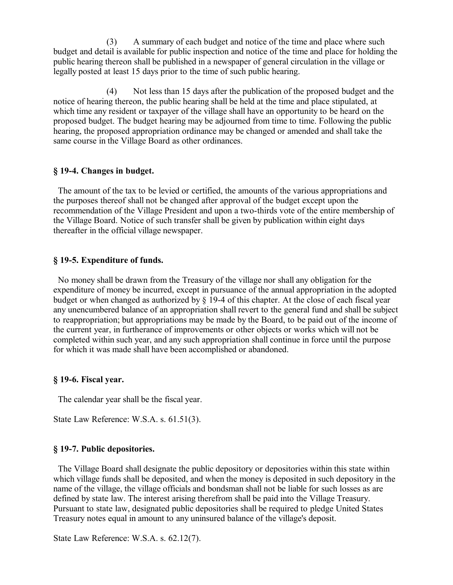(3) A summary of each budget and notice of the time and place where such budget and detail is available for public inspection and notice of the time and place for holding the public hearing thereon shall be published in a newspaper of general circulation in the village or legally posted at least 15 days prior to the time of such public hearing.

(4) Not less than 15 days after the publication of the proposed budget and the notice of hearing thereon, the public hearing shall be held at the time and place stipulated, at which time any resident or taxpayer of the village shall have an opportunity to be heard on the proposed budget. The budget hearing may be adjourned from time to time. Following the public hearing, the proposed appropriation ordinance may be changed or amended and shall take the same course in the Village Board as other ordinances.

### **§ 19-4. Changes in budget.**

 The amount of the tax to be levied or certified, the amounts of the various appropriations and the purposes thereof shall not be changed after approval of the budget except upon the recommendation of the Village President and upon a two-thirds vote of the entire membership of the Village Board. Notice of such transfer shall be given by publication within eight days thereafter in the official village newspaper.

### **§ 19-5. Expenditure of funds.**

 No money shall be drawn from the Treasury of the village nor shall any obligation for the expenditure of money be incurred, except in pursuance of the annual appropriation in the adopted budget or when changed as authorized by § 19-4 of this chapter. At the close of each fiscal year any unencumbered balance of an appropriation shall revert to the general fund and shall be subject to reappropriation; but appropriations may be made by the Board, to be paid out of the income of the current year, in furtherance of improvements or other objects or works which will not be completed within such year, and any such appropriation shall continue in force until the purpose for which it was made shall have been accomplished or abandoned.

#### **§ 19-6. Fiscal year.**

The calendar year shall be the fiscal year.

State Law Reference: W.S.A. s. 61.51(3).

### **§ 19-7. Public depositories.**

 The Village Board shall designate the public depository or depositories within this state within which village funds shall be deposited, and when the money is deposited in such depository in the name of the village, the village officials and bondsman shall not be liable for such losses as are defined by state law. The interest arising therefrom shall be paid into the Village Treasury. Pursuant to state law, designated public depositories shall be required to pledge United States Treasury notes equal in amount to any uninsured balance of the village's deposit.

State Law Reference: W.S.A. s. 62.12(7).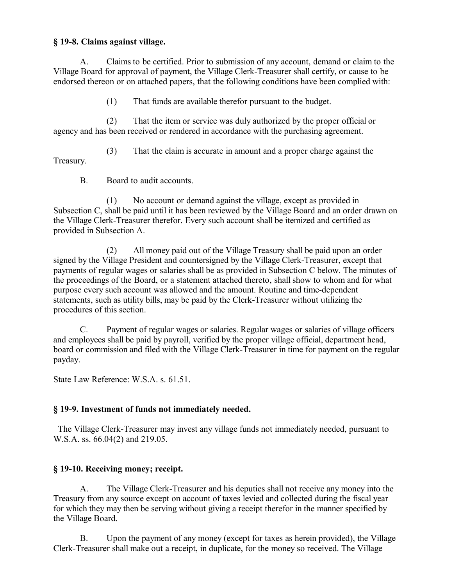### **§ 19-8. Claims against village.**

A. Claims to be certified. Prior to submission of any account, demand or claim to the Village Board for approval of payment, the Village Clerk-Treasurer shall certify, or cause to be endorsed thereon or on attached papers, that the following conditions have been complied with:

(1) That funds are available therefor pursuant to the budget.

(2) That the item or service was duly authorized by the proper official or agency and has been received or rendered in accordance with the purchasing agreement.

(3) That the claim is accurate in amount and a proper charge against the Treasury.

B. Board to audit accounts.

(1) No account or demand against the village, except as provided in Subsection C, shall be paid until it has been reviewed by the Village Board and an order drawn on the Village Clerk-Treasurer therefor. Every such account shall be itemized and certified as provided in Subsection A.

(2) All money paid out of the Village Treasury shall be paid upon an order signed by the Village President and countersigned by the Village Clerk-Treasurer, except that payments of regular wages or salaries shall be as provided in Subsection C below. The minutes of the proceedings of the Board, or a statement attached thereto, shall show to whom and for what purpose every such account was allowed and the amount. Routine and time-dependent statements, such as utility bills, may be paid by the Clerk-Treasurer without utilizing the procedures of this section.

C. Payment of regular wages or salaries. Regular wages or salaries of village officers and employees shall be paid by payroll, verified by the proper village official, department head, board or commission and filed with the Village Clerk-Treasurer in time for payment on the regular payday.

State Law Reference: W.S.A. s. 61.51.

### **§ 19-9. Investment of funds not immediately needed.**

 The Village Clerk-Treasurer may invest any village funds not immediately needed, pursuant to W.S.A. ss. 66.04(2) and 219.05.

### **§ 19-10. Receiving money; receipt.**

A. The Village Clerk-Treasurer and his deputies shall not receive any money into the Treasury from any source except on account of taxes levied and collected during the fiscal year for which they may then be serving without giving a receipt therefor in the manner specified by the Village Board.

B. Upon the payment of any money (except for taxes as herein provided), the Village Clerk-Treasurer shall make out a receipt, in duplicate, for the money so received. The Village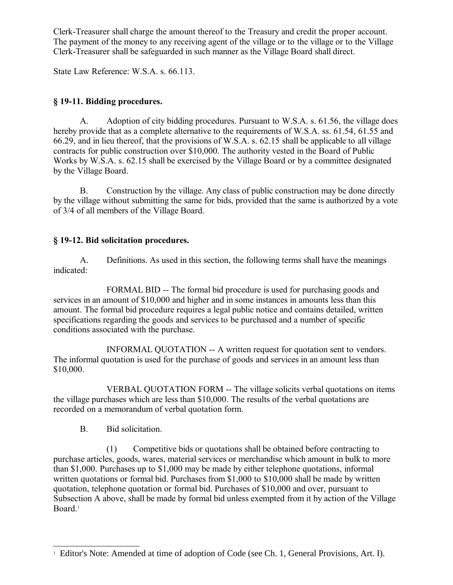Clerk-Treasurer shall charge the amount thereof to the Treasury and credit the proper account. The payment of the money to any receiving agent of the village or to the village or to the Village Clerk-Treasurer shall be safeguarded in such manner as the Village Board shall direct.

State Law Reference: W.S.A. s. 66.113.

# **§ 19-11. Bidding procedures.**

A. Adoption of city bidding procedures. Pursuant to W.S.A. s. 61.56, the village does hereby provide that as a complete alternative to the requirements of W.S.A. ss. 61.54, 61.55 and 66.29, and in lieu thereof, that the provisions of W.S.A. s. 62.15 shall be applicable to all village contracts for public construction over \$10,000. The authority vested in the Board of Public Works by W.S.A. s. 62.15 shall be exercised by the Village Board or by a committee designated by the Village Board.

B. Construction by the village. Any class of public construction may be done directly by the village without submitting the same for bids, provided that the same is authorized by a vote of 3/4 of all members of the Village Board.

# **§ 19-12. Bid solicitation procedures.**

A. Definitions. As used in this section, the following terms shall have the meanings indicated:

FORMAL BID -- The formal bid procedure is used for purchasing goods and services in an amount of \$10,000 and higher and in some instances in amounts less than this amount. The formal bid procedure requires a legal public notice and contains detailed, written specifications regarding the goods and services to be purchased and a number of specific conditions associated with the purchase.

INFORMAL QUOTATION -- A written request for quotation sent to vendors. The informal quotation is used for the purchase of goods and services in an amount less than \$10,000.

VERBAL QUOTATION FORM -- The village solicits verbal quotations on items the village purchases which are less than \$10,000. The results of the verbal quotations are recorded on a memorandum of verbal quotation form.

## B. Bid solicitation.

(1) Competitive bids or quotations shall be obtained before contracting to purchase articles, goods, wares, material services or merchandise which amount in bulk to more than \$1,000. Purchases up to \$1,000 may be made by either telephone quotations, informal written quotations or formal bid. Purchases from \$1,000 to \$10,000 shall be made by written quotation, telephone quotation or formal bid. Purchases of \$10,000 and over, pursuant to Subsection A above, shall be made by formal bid unless exempted from it by action of the Village Board.<sup>[1](#page-4-0)</sup>

<span id="page-4-0"></span><sup>&</sup>lt;sup>1</sup> Editor's Note: Amended at time of adoption of Code (see Ch. 1, General Provisions, Art. I).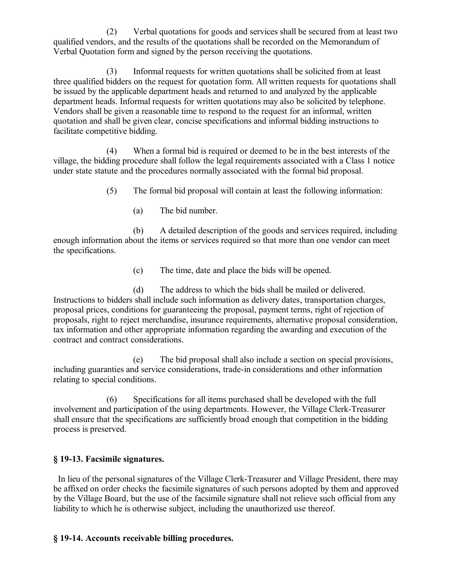(2) Verbal quotations for goods and services shall be secured from at least two qualified vendors, and the results of the quotations shall be recorded on the Memorandum of Verbal Quotation form and signed by the person receiving the quotations.

(3) Informal requests for written quotations shall be solicited from at least three qualified bidders on the request for quotation form. All written requests for quotations shall be issued by the applicable department heads and returned to and analyzed by the applicable department heads. Informal requests for written quotations may also be solicited by telephone. Vendors shall be given a reasonable time to respond to the request for an informal, written quotation and shall be given clear, concise specifications and informal bidding instructions to facilitate competitive bidding.

(4) When a formal bid is required or deemed to be in the best interests of the village, the bidding procedure shall follow the legal requirements associated with a Class 1 notice under state statute and the procedures normally associated with the formal bid proposal.

- (5) The formal bid proposal will contain at least the following information:
	- (a) The bid number.

(b) A detailed description of the goods and services required, including enough information about the items or services required so that more than one vendor can meet the specifications.

(c) The time, date and place the bids will be opened.

(d) The address to which the bids shall be mailed or delivered. Instructions to bidders shall include such information as delivery dates, transportation charges, proposal prices, conditions for guaranteeing the proposal, payment terms, right of rejection of proposals, right to reject merchandise, insurance requirements, alternative proposal consideration, tax information and other appropriate information regarding the awarding and execution of the contract and contract considerations.

(e) The bid proposal shall also include a section on special provisions, including guaranties and service considerations, trade-in considerations and other information relating to special conditions.

(6) Specifications for all items purchased shall be developed with the full involvement and participation of the using departments. However, the Village Clerk-Treasurer shall ensure that the specifications are sufficiently broad enough that competition in the bidding process is preserved.

### **§ 19-13. Facsimile signatures.**

 In lieu of the personal signatures of the Village Clerk-Treasurer and Village President, there may be affixed on order checks the facsimile signatures of such persons adopted by them and approved by the Village Board, but the use of the facsimile signature shall not relieve such official from any liability to which he is otherwise subject, including the unauthorized use thereof.

#### **§ 19-14. Accounts receivable billing procedures.**